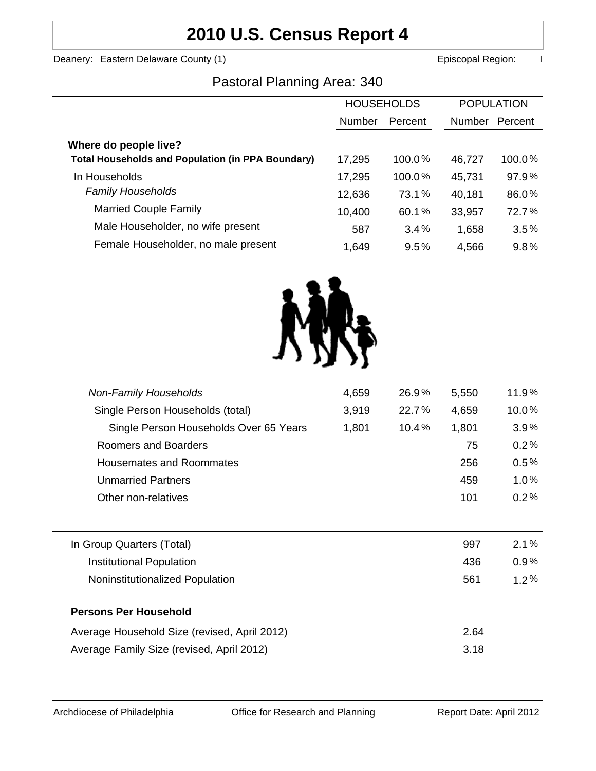# **2010 U.S. Census Report 4**

Deanery: Eastern Delaware County (1) **Example 2 and County County County County County County County County County County County County County County County County County County County County County County County County Co** 

### Pastoral Planning Area: 340

|                                                          | <b>HOUSEHOLDS</b> |         | <b>POPULATION</b> |         |
|----------------------------------------------------------|-------------------|---------|-------------------|---------|
|                                                          | <b>Number</b>     | Percent | Number            | Percent |
| Where do people live?                                    |                   |         |                   |         |
| <b>Total Households and Population (in PPA Boundary)</b> | 17,295            | 100.0%  | 46,727            | 100.0%  |
| In Households                                            | 17,295            | 100.0%  | 45,731            | 97.9%   |
| <b>Family Households</b>                                 | 12,636            | 73.1%   | 40,181            | 86.0%   |
| <b>Married Couple Family</b>                             | 10,400            | 60.1%   | 33,957            | 72.7%   |
| Male Householder, no wife present                        | 587               | 3.4%    | 1,658             | 3.5%    |
| Female Householder, no male present                      | 1,649             | 9.5%    | 4,566             | 9.8%    |



| <b>Non-Family Households</b>                 | 4,659 | 26.9% | 5,550 | 11.9%   |
|----------------------------------------------|-------|-------|-------|---------|
| Single Person Households (total)             | 3,919 | 22.7% | 4,659 | 10.0%   |
| Single Person Households Over 65 Years       | 1,801 | 10.4% | 1,801 | 3.9%    |
| Roomers and Boarders                         |       |       | 75    | 0.2%    |
| Housemates and Roommates                     |       |       | 256   | 0.5%    |
| <b>Unmarried Partners</b>                    |       |       | 459   | 1.0%    |
| Other non-relatives                          |       |       | 101   | 0.2%    |
|                                              |       |       |       |         |
| In Group Quarters (Total)                    |       |       | 997   | $2.1\%$ |
| Institutional Population                     |       |       | 436   | $0.9\%$ |
| Noninstitutionalized Population              |       |       | 561   | $1.2\%$ |
| <b>Persons Per Household</b>                 |       |       |       |         |
| Average Household Size (revised, April 2012) |       |       | 2.64  |         |
| Average Family Size (revised, April 2012)    |       |       | 3.18  |         |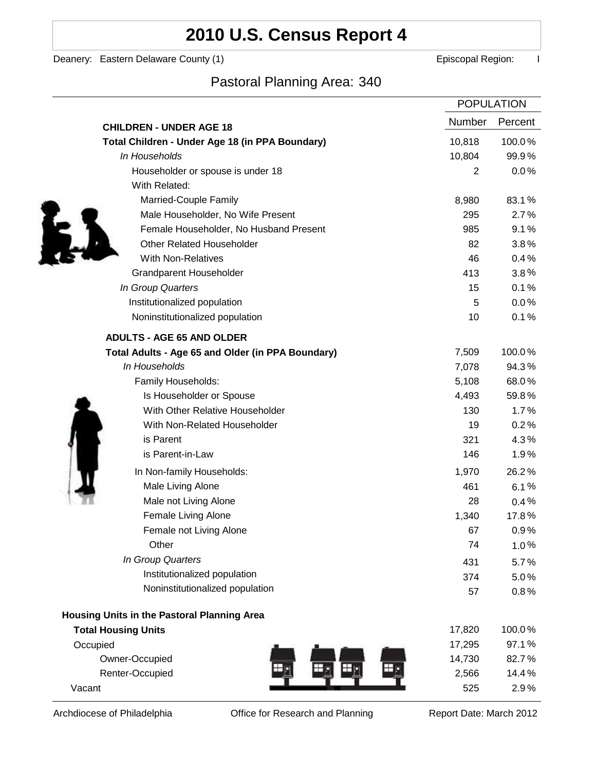## **2010 U.S. Census Report 4**

Deanery: Eastern Delaware County (1) **Example 2** Episcopal Region: I

## Pastoral Planning Area: 340

|                                                   | <b>POPULATION</b> |         |
|---------------------------------------------------|-------------------|---------|
| <b>CHILDREN - UNDER AGE 18</b>                    | Number            | Percent |
| Total Children - Under Age 18 (in PPA Boundary)   | 10,818            | 100.0%  |
| In Households                                     | 10,804            | 99.9%   |
| Householder or spouse is under 18                 | 2                 | 0.0%    |
| With Related:                                     |                   |         |
| Married-Couple Family                             | 8,980             | 83.1%   |
| Male Householder, No Wife Present                 | 295               | 2.7%    |
| Female Householder, No Husband Present            | 985               | 9.1%    |
| <b>Other Related Householder</b>                  | 82                | 3.8%    |
| <b>With Non-Relatives</b>                         | 46                | 0.4%    |
| Grandparent Householder                           | 413               | $3.8\%$ |
| In Group Quarters                                 | 15                | 0.1%    |
| Institutionalized population                      | 5                 | 0.0%    |
| Noninstitutionalized population                   | 10                | 0.1%    |
| <b>ADULTS - AGE 65 AND OLDER</b>                  |                   |         |
| Total Adults - Age 65 and Older (in PPA Boundary) | 7,509             | 100.0%  |
| In Households                                     | 7,078             | 94.3%   |
| Family Households:                                | 5,108             | 68.0%   |
| Is Householder or Spouse                          | 4,493             | 59.8%   |
| With Other Relative Householder                   | 130               | 1.7%    |
| With Non-Related Householder                      | 19                | 0.2%    |
| is Parent                                         | 321               | 4.3%    |
| is Parent-in-Law                                  | 146               | 1.9%    |
| In Non-family Households:                         | 1,970             | 26.2%   |
| Male Living Alone                                 | 461               | 6.1%    |
| Male not Living Alone                             | 28                | $0.4\%$ |
| Female Living Alone                               | 1,340             | 17.8%   |
| Female not Living Alone                           | 67                | 0.9%    |
| Other                                             | 74                | 1.0%    |
| In Group Quarters                                 | 431               | 5.7%    |
| Institutionalized population                      | 374               | 5.0%    |
| Noninstitutionalized population                   | 57                | 0.8%    |
| Housing Units in the Pastoral Planning Area       |                   |         |
| <b>Total Housing Units</b>                        | 17,820            | 100.0%  |
| Occupied                                          | 17,295            | 97.1%   |
| Owner-Occupied                                    | 14,730            | 82.7%   |
| Renter-Occupied                                   | 2,566             | 14.4%   |
| Vacant                                            | 525               | 2.9%    |

Archdiocese of Philadelphia **Office for Research and Planning** Report Date: March 2012